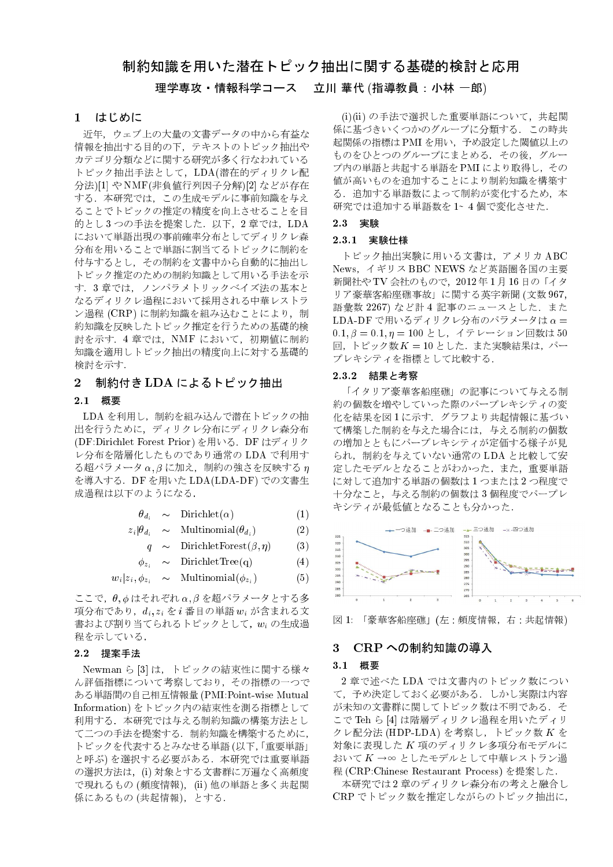# 制約知識を用いた潜在トピック抽出に関する基礎的検討と応用

# 理学専攻・情報科学コース 立川 華代 (指導教員: 小林 一郎)

#### はじめに  $\mathbf{1}$

近年、ウェブ上の大量の文書データの中から有益な 情報を抽出する目的の下、テキストのトピック抽出や カテゴリ分類などに関する研究が多く行なわれている トピック抽出手法として、LDA(潜在的ディリクレ配 分法)[1] や NMF(非負値行列因子分解)[2] などが存在 する. 本研究では、この生成モデルに事前知識を与え ることでトピックの推定の精度を向上させることを目 的とし3つの手法を提案した. 以下, 2章では、LDA において単語出現の事前確率分布としてディリクレ森 分布を用いることで単語に割当てるトピックに制約を 付与するとし、その制約を文書中から自動的に抽出し トピック推定のための制約知識として用いる手法を示 す. 3章では、ノンパラメトリックベイズ法の基本と なるディリクレ過程において採用される中華レストラ ン過程 (CRP) に制約知識を組み込むことにより、制 約知識を反映したトピック推定を行うための基礎的検 討を示す. 4章では、NMF において、初期値に制約 知識を適用しトピック抽出の精度向上に対する基礎的 検討を示す.

# 2 制約付き LDA によるトピック抽出

# 2.1 概要

LDA を利用し、制約を組み込んで潜在トピックの抽 出を行うために、ディリクレ分布にディリクレ森分布 (DF:Dirichlet Forest Prior)を用いる. DFはディリク レ分布を階層化したものであり通常の LDA で利用す  $\delta$ 超パラメータ $\alpha, \beta$ に加え、制約の強さを反映する $\eta$ を導入する. DF を用いた LDA(LDA-DF) での文書生 成過程は以下のようになる.

$$
\theta_{d_i} \sim \text{Dirichlet}(\alpha) \tag{1}
$$

$$
z_i | \theta_{d_i} \sim \text{Multinomial}(\theta_{d_i}) \tag{2}
$$

$$
q \sim \text{DirichletForest}(\beta, \eta) \tag{3}
$$

$$
\phi_{z_i} \sim \text{DirichletTree}(q) \tag{4}
$$

$$
w_i|z_i, \phi_{z_i} \sim \text{Multinomial}(\phi_{z_i})
$$

ここで、θ, φ はそれぞれ α, β を超パラメータとする多 項分布であり、 $d_i, z_i \geq i$  番目の単語  $w_i$  が含まれる文 書および割り当てられるトピックとして, w<sub>i</sub> の生成過 程を示している.

#### 2.2 提案手法

Newman ら [3] は、トピックの結束性に関する様々 ん評価指標について考察しており、その指標の一つで ある単語間の自己相互情報量 (PMI: Point-wise Mutual Information)をトピック内の結束性を測る指標として 利用する. 本研究では与える制約知識の構築方法とし て二つの手法を提案する. 制約知識を構築するために, トピックを代表するとみなせる単語(以下,「重要単語」 と呼ぶ)を選択する必要がある. 本研究では重要単語 の選択方法は、(i)対象とする文書群に万遍なく高頻度 で現れるもの (頻度情報), (ii) 他の単語と多く共起関 係にあるもの (共起情報), とする.

(i)(ii)の手法で選択した重要単語について、共起関 係に基づきいくつかのグループに分類する. この時共 起関係の指標はPMIを用い、予め設定した閾値以上の ものをひとつのグループにまとめる、その後、グルー プ内の単語と共起する単語をPMIにより取得し、その 値が高いものを追加することにより制約知識を構築す る、追加する単語数によって制約が変化するため、本 研究では追加する単語数を1~4個で変化させた.

### 2.3 実験

#### 2.3.1 実験仕様

トピック抽出実験に用いる文書は、アメリカ ABC News. イギリス BBC NEWS など英語圏各国の主要 新聞社や TV 会社のもので、2012年1月16日の「イタ リア豪華客船座礁事故」に関する英字新聞 (文数 967, 語彙数 2267) など計 4 記事のニュースとした. また LDA-DF で用いるディリクレ分布のパラメータは  $\alpha =$  $0.1, \beta = 0.1, \eta = 100$ とし、イテレーション回数は50 回,トピック数 K = 10とした. また実験結果は、パー プレキシティを指標として比較する。

#### 2.3.2 結果と考察

「イタリア豪華客船座礁」の記事について与える制 約の個数を増やしていった際のパープレキシティの変 化を結果を図1に示す. グラフより共起情報に基づい て構築した制約を与えた場合には、与える制約の個数 の増加とともにパープレキシティが定価する様子が見 られ、制約を与えていない通常の LDA と比較して安 定したモデルとなることがわかった. また、重要単語 に対して追加する単語の個数は1つまたは2つ程度で 十分なこと、与える制約の個数は3個程度でパープレ キシティが最低値となることも分かった.





# 3 CRPへの制約知識の導入

#### 3.1 概要

 $(5)$ 

2章で述べたLDAでは文書内のトピック数につい て、予め決定しておく必要がある。しかし実際は内容 が未知の文書群に関してトピック数は不明である。そ こで Teh ら [4] は階層ディリクレ過程を用いたディリ クレ配分法 (HDP-LDA) を考察し、トピック数 Kを 対象に表現した K 項のディリクレ多項分布モデルに おいて K→∞ としたモデルとして中華レストラン過 程 (CRP: Chinese Restaurant Process) を提案した.

本研究では2章のディリクレ森分布の考えと融合し CRP でトピック数を推定しながらのトピック抽出に.